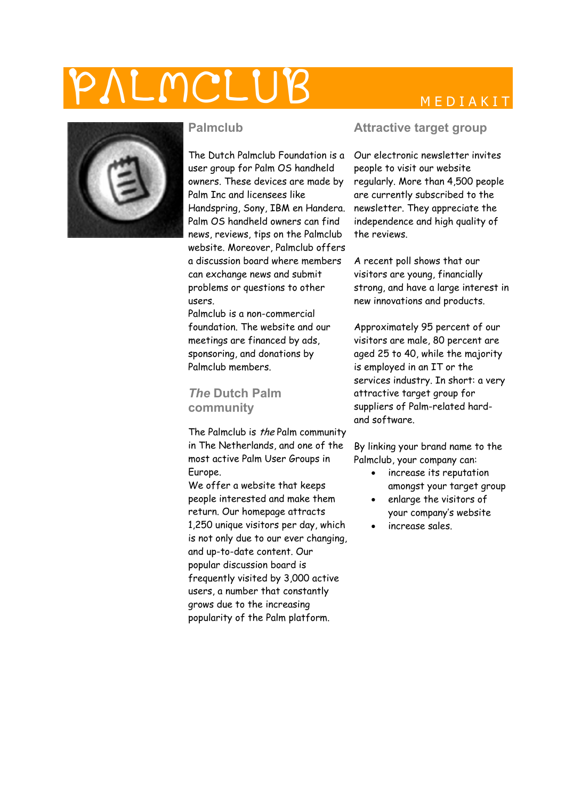## $\textcolor{red}{\mathsf{MCLUB}} \qquad \qquad \textcolor{red}{\mathsf{MEDIAKIT}}$



#### **Palmclub**

The Dutch Palmclub Foundation is a user group for Palm OS handheld owners. These devices are made by Palm Inc and licensees like Handspring, Sony, IBM en Handera. Palm OS handheld owners can find news, reviews, tips on the Palmclub website. Moreover, Palmclub offers a discussion board where members can exchange news and submit problems or questions to other users.

Palmclub is a non-commercial foundation. The website and our meetings are financed by ads, sponsoring, and donations by Palmclub members.

#### *The* **Dutch Palm community**

The Palmclub is the Palm community in The Netherlands, and one of the most active Palm User Groups in Europe.

We offer a website that keeps people interested and make them return. Our homepage attracts 1,250 unique visitors per day, which is not only due to our ever changing, and up-to-date content. Our popular discussion board is frequently visited by 3,000 active users, a number that constantly grows due to the increasing popularity of the Palm platform.

#### **Attractive target group**

Our electronic newsletter invites people to visit our website regularly. More than 4,500 people are currently subscribed to the newsletter. They appreciate the independence and high quality of the reviews.

A recent poll shows that our visitors are young, financially strong, and have a large interest in new innovations and products.

Approximately 95 percent of our visitors are male, 80 percent are aged 25 to 40, while the majority is employed in an IT or the services industry. In short: a very attractive target group for suppliers of Palm-related hardand software.

By linking your brand name to the Palmclub, your company can:

- increase its reputation amongst your target group
- enlarge the visitors of your company's website
- increase sales.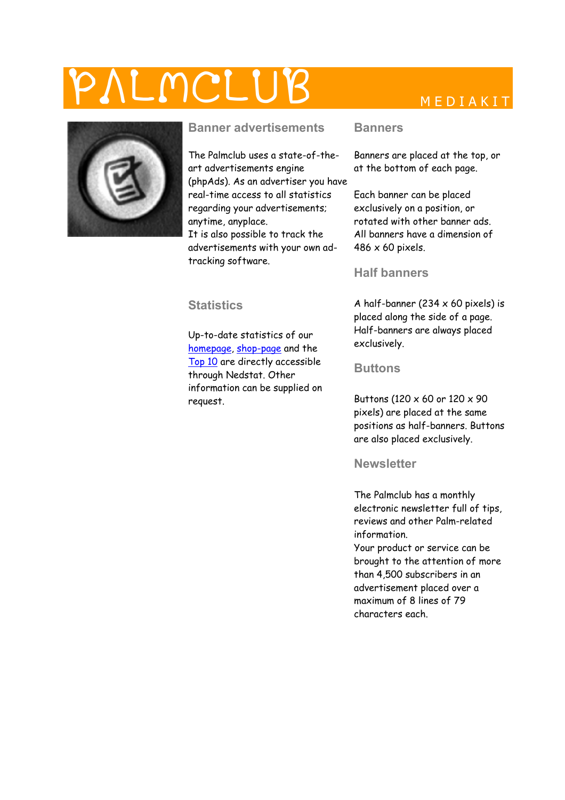## $\_MCLUB$ MEDIAKIT



### **Banner advertisements**

The Palmclub uses a state-of-theart advertisements engine (phpAds). As an advertiser you have real-time access to all statistics regarding your advertisements; anytime, anyplace. It is also possible to track the

advertisements with your own adtracking software.

#### **Statistics**

Up-to-date statistics of our [homepage,](http://v1.nedstatbasic.net/stats?AAv06wb1KCA3Xt2kLGTIPh92AWoA) [shop-page](http://v1.nedstatbasic.net/stats?AAv06gp3fJfE6dOUHzIan/bjlIaQ) and the [Top 10](http://pdaclub.nl/top10/) are directly accessible through Nedstat. Other information can be supplied on request.

#### **Banners**

Banners are placed at the top, or at the bottom of each page.

Each banner can be placed exclusively on a position, or rotated with other banner ads. All banners have a dimension of 486 x 60 pixels.

#### **Half banners**

A half-banner (234  $\times$  60 pixels) is placed along the side of a page. Half-banners are always placed exclusively.

#### **Buttons**

Buttons (120 x 60 or 120 x 90 pixels) are placed at the same positions as half-banners. Buttons are also placed exclusively.

#### **Newsletter**

The Palmclub has a monthly electronic newsletter full of tips, reviews and other Palm-related information.

Your product or service can be brought to the attention of more than 4,500 subscribers in an advertisement placed over a maximum of 8 lines of 79 characters each.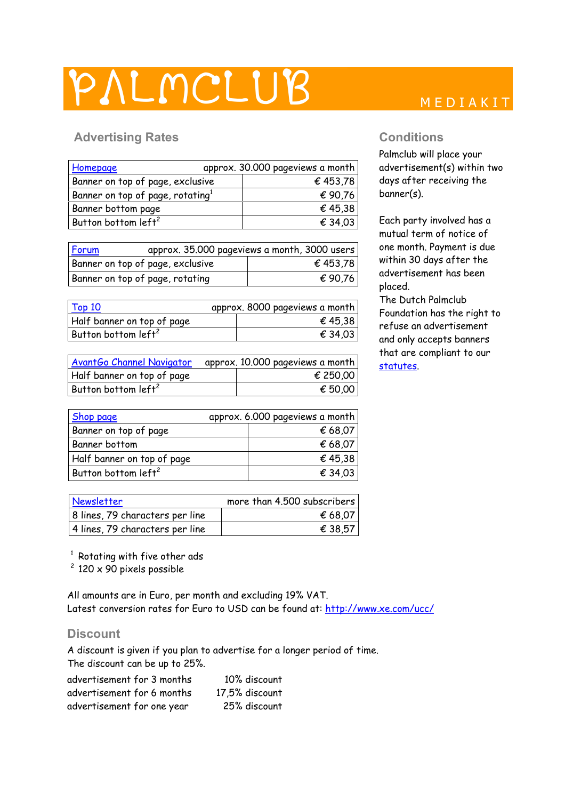## PALMCLUB MEDIAKIT

### Advertising Rates **Conditions Conditions**

| Homepage                                     | approx. 30.000 pageviews a month |
|----------------------------------------------|----------------------------------|
| Banner on top of page, exclusive             | € 453,78                         |
| Banner on top of page, rotating <sup>1</sup> | € 90,76                          |
| Banner bottom page                           | € 45,38                          |
| Button bottom left <sup>2</sup>              | € 34,03                          |

| Forum                            | approx. 35.000 pageviews a month, 3000 users |
|----------------------------------|----------------------------------------------|
| Banner on top of page, exclusive | € 453,78                                     |
| Banner on top of page, rotating  | € 90,76                                      |

| <b>Top 10</b>                   | approx. 8000 pageviews a month |
|---------------------------------|--------------------------------|
| Half banner on top of page      | € 45,38                        |
| Button bottom left <sup>2</sup> | € 34,03                        |
|                                 |                                |

| AvantGo Channel Navigator       | approx. 10.000 pageviews a month |
|---------------------------------|----------------------------------|
| Half banner on top of page      | € 250.00                         |
| Button bottom left <sup>2</sup> | € 50.00                          |

| <b>Shop page</b>                | approx. 6.000 pageviews a month |
|---------------------------------|---------------------------------|
| Banner on top of page           | € 68,07                         |
| Banner bottom                   | € 68,07                         |
| Half banner on top of page      | € 45,38                         |
| Button bottom left <sup>2</sup> | € 34,03                         |

| Newsletter                      | more than 4.500 subscribers |
|---------------------------------|-----------------------------|
| 8 lines, 79 characters per line | € 68.07                     |
| 4 lines, 79 characters per line | € 38.57                     |

<sup>1</sup> Rotating with five other ads

<sup>2</sup> 120 x 90 pixels possible

All amounts are in Euro, per month and excluding 19% VAT. Latest conversion rates for Euro to USD can be found at: <http://www.xe.com/ucc/>

#### **Discount**

A discount is given if you plan to advertise for a longer period of time. The discount can be up to 25%.

| advertisement for 3 months | 10% discount   |
|----------------------------|----------------|
| advertisement for 6 months | 17,5% discount |
| advertisement for one year | 25% discount   |

Palmclub will place your advertisement(s) within two days after receiving the banner(s).

Each party involved has a mutual term of notice of one month. Payment is due within 30 days after the advertisement has been placed.

The Dutch Palmclub Foundation has the right to refuse an advertisement and only accepts banners that are compliant to our [statutes](http://www.palmclub.nl/statuten.shtml).